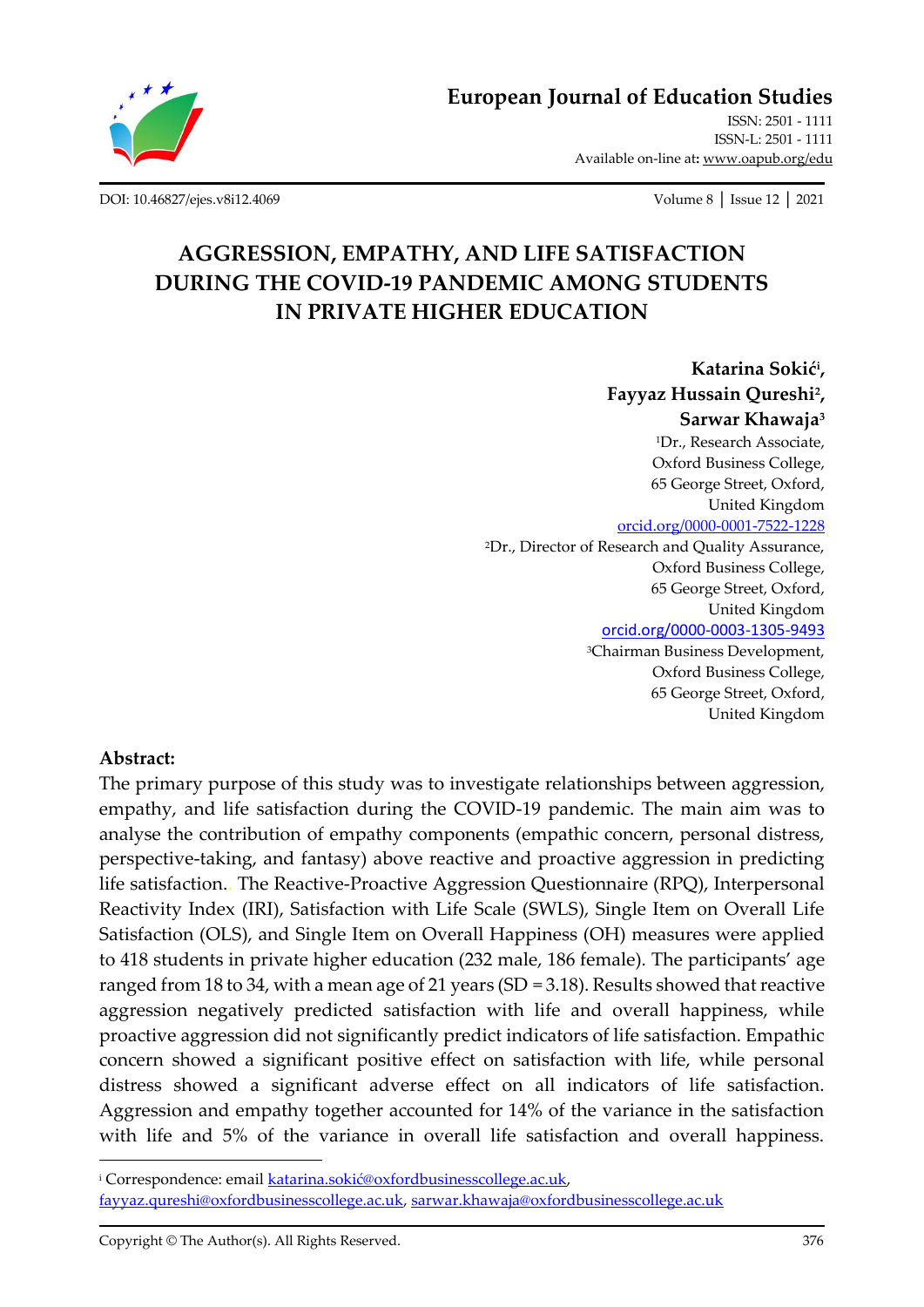

**[European Journal of Education Studies](http://oapub.org/edu/index.php/ejes)**

[ISSN: 2501 -](http://oapub.org/edu/index.php/ejes) 1111 [ISSN-L: 2501 -](http://oapub.org/edu/index.php/ejes) 1111 Available on-line at**:** [www.oapub.org/edu](http://www.oapub.org/edu)

[DOI: 10.46827/ejes.v8i12.4069](http://dx.doi.org/10.46827/ejes.v8i12.4069) Volume 8 │ Issue 12 │ 2021

# **AGGRESSION, EMPATHY, AND LIFE SATISFACTION DURING THE COVID-19 PANDEMIC AMONG STUDENTS IN PRIVATE HIGHER EDUCATION**

**Katarina Sokić<sup>i</sup> , Fayyaz Hussain Qureshi<sup>2</sup> , Sarwar Khawaja<sup>3</sup>** <sup>1</sup>Dr., Research Associate, Oxford Business College, 65 George Street, Oxford, United Kingdom [orcid.org/0000-0001-7522-1228](https://orcid.org/0000-0001-7522-1228) <sup>2</sup>Dr., Director of Research and Quality Assurance, Oxford Business College, 65 George Street, Oxford, United Kingdom [orcid.org/0000-0003-1305-9493](https://orcid.org/0000-0003-1305-9493) <sup>3</sup>Chairman Business Development, Oxford Business College, 65 George Street, Oxford, United Kingdom

#### **Abstract:**

The primary purpose of this study was to investigate relationships between aggression, empathy, and life satisfaction during the COVID-19 pandemic. The main aim was to analyse the contribution of empathy components (empathic concern, personal distress, perspective-taking, and fantasy) above reactive and proactive aggression in predicting life satisfaction.. The Reactive-Proactive Aggression Questionnaire (RPQ), Interpersonal Reactivity Index (IRI), Satisfaction with Life Scale (SWLS), Single Item on Overall Life Satisfaction (OLS), and Single Item on Overall Happiness (OH) measures were applied to 418 students in private higher education (232 male, 186 female). The participants' age ranged from 18 to 34, with a mean age of 21 years (SD = 3.18). Results showed that reactive aggression negatively predicted satisfaction with life and overall happiness, while proactive aggression did not significantly predict indicators of life satisfaction. Empathic concern showed a significant positive effect on satisfaction with life, while personal distress showed a significant adverse effect on all indicators of life satisfaction. Aggression and empathy together accounted for 14% of the variance in the satisfaction with life and 5% of the variance in overall life satisfaction and overall happiness.

<sup>i</sup> Correspondence: email [katarina.sokić@oxfordbusinesscollege.ac.uk](mailto:katarina.sokić@oxfordbusinesscollege.ac.uk), [fayyaz.qureshi@oxfordbusinesscollege.ac.uk,](mailto:fayyaz.qureshi@oxfordbusinesscollege.ac.uk) [sarwar.khawaja@oxfordbusinesscollege.ac.uk](mailto:sarwar.khawaja@oxfordbusinesscollege.ac.uk)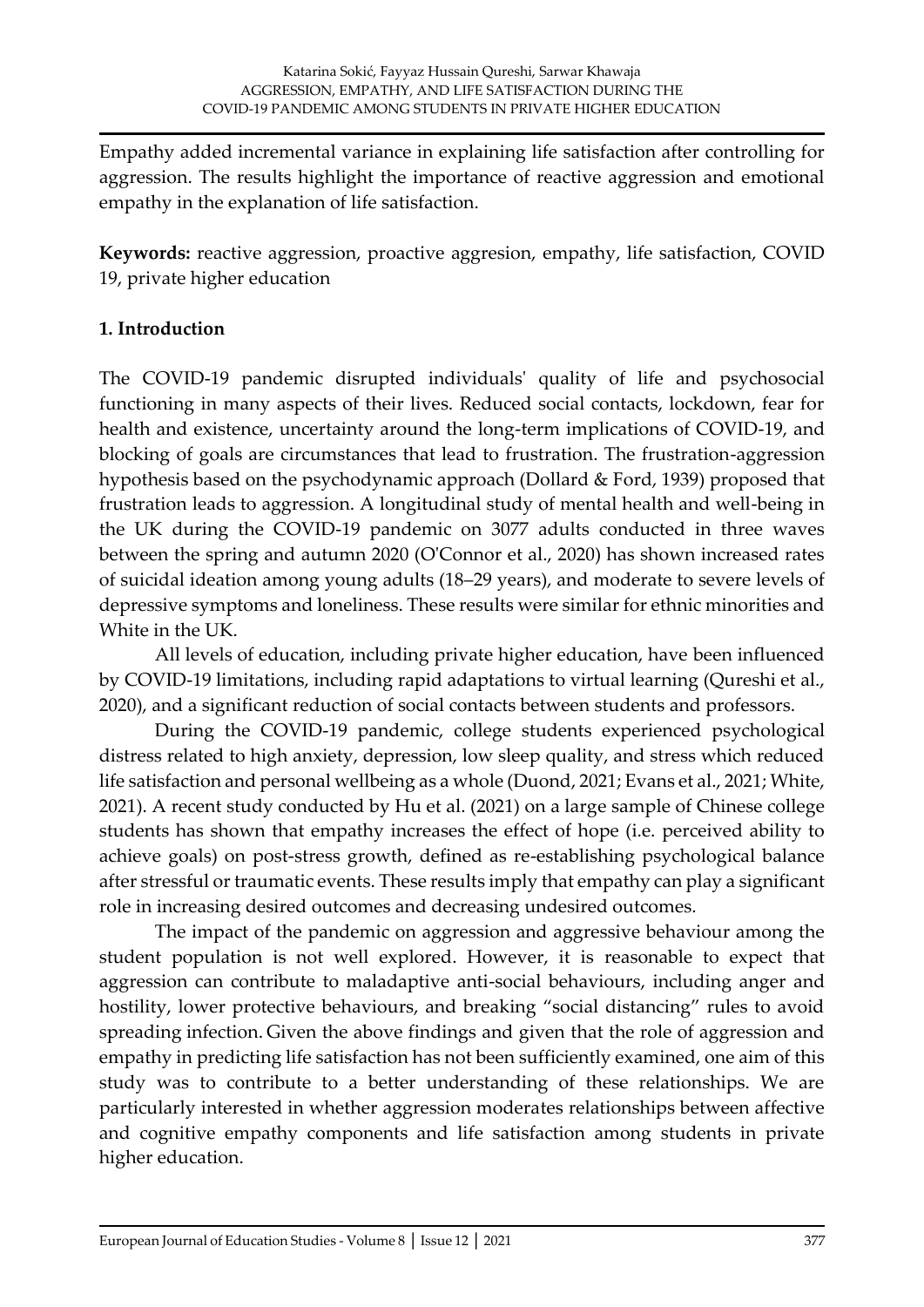Empathy added incremental variance in explaining life satisfaction after controlling for aggression. The results highlight the importance of reactive aggression and emotional empathy in the explanation of life satisfaction.

**Keywords:** reactive aggression, proactive aggresion, empathy, life satisfaction, COVID 19, private higher education

# **1. Introduction**

The COVID-19 pandemic disrupted individuals' quality of life and psychosocial functioning in many aspects of their lives. Reduced social contacts, lockdown, fear for health and existence, uncertainty around the long-term implications of COVID-19, and blocking of goals are circumstances that lead to frustration. The frustration-aggression hypothesis based on the psychodynamic approach (Dollard & Ford, 1939) proposed that frustration leads to aggression. A longitudinal study of mental health and well-being in the UK during the COVID-19 pandemic on 3077 adults conducted in three waves between the spring and autumn 2020 (O'Connor et al., 2020) has shown increased rates of suicidal ideation among young adults (18–29 years), and moderate to severe levels of depressive symptoms and loneliness. These results were similar for ethnic minorities and White in the UK.

All levels of education, including private higher education, have been influenced by COVID-19 limitations, including rapid adaptations to virtual learning (Qureshi et al., 2020), and a significant reduction of social contacts between students and professors.

During the COVID-19 pandemic, college students experienced psychological distress related to high anxiety, depression, low sleep quality, and stress which reduced life satisfaction and personal wellbeing as a whole (Duond, 2021; Evans et al., 2021; White, 2021). A recent study conducted by Hu et al. (2021) on a large sample of Chinese college students has shown that empathy increases the effect of hope (i.e. perceived ability to achieve goals) on post-stress growth, defined as re-establishing psychological balance after stressful or traumatic events. These results imply that empathy can play a significant role in increasing desired outcomes and decreasing undesired outcomes.

The impact of the pandemic on aggression and aggressive behaviour among the student population is not well explored. However, it is reasonable to expect that aggression can contribute to maladaptive anti-social behaviours, including anger and hostility, lower protective behaviours, and breaking "social distancing" rules to avoid spreading infection. Given the above findings and given that the role of aggression and empathy in predicting life satisfaction has not been sufficiently examined, one aim of this study was to contribute to a better understanding of these relationships. We are particularly interested in whether aggression moderates relationships between affective and cognitive empathy components and life satisfaction among students in private higher education.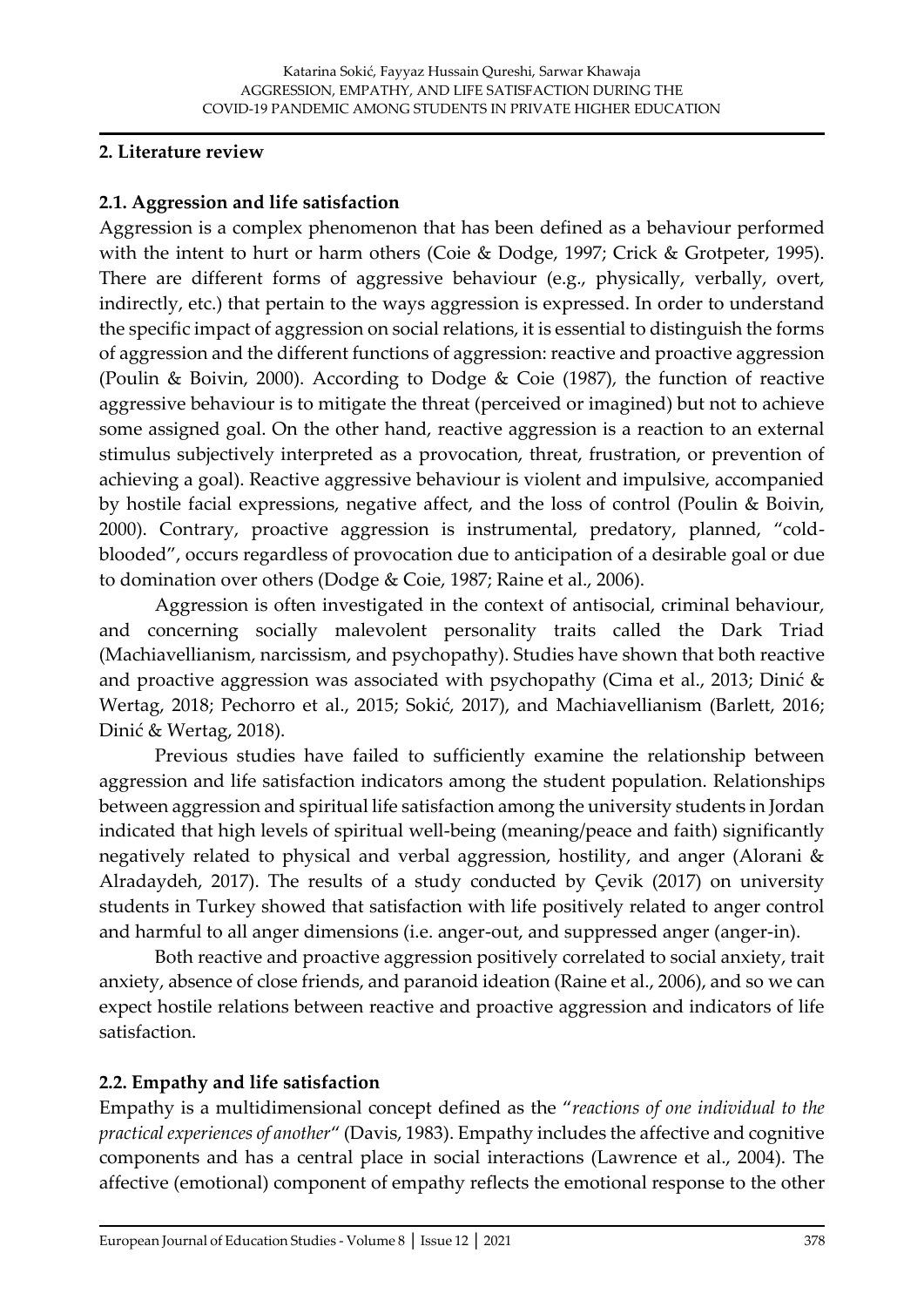#### **2. Literature review**

#### **2.1. Aggression and life satisfaction**

Aggression is a complex phenomenon that has been defined as a behaviour performed with the intent to hurt or harm others (Coie & Dodge, 1997; Crick & Grotpeter, 1995). There are different forms of aggressive behaviour (e.g., physically, verbally, overt, indirectly, etc.) that pertain to the ways aggression is expressed. In order to understand the specific impact of aggression on social relations, it is essential to distinguish the forms of aggression and the different functions of aggression: reactive and proactive aggression (Poulin & Boivin, 2000). According to Dodge & Coie (1987), the function of reactive aggressive behaviour is to mitigate the threat (perceived or imagined) but not to achieve some assigned goal. On the other hand, reactive aggression is a reaction to an external stimulus subjectively interpreted as a provocation, threat, frustration, or prevention of achieving a goal). Reactive aggressive behaviour is violent and impulsive, accompanied by hostile facial expressions, negative affect, and the loss of control (Poulin & Boivin, 2000). Contrary, proactive aggression is instrumental, predatory, planned, "coldblooded", occurs regardless of provocation due to anticipation of a desirable goal or due to domination over others (Dodge & Coie, 1987; Raine et al., 2006).

Aggression is often investigated in the context of antisocial, criminal behaviour, and concerning socially malevolent personality traits called the Dark Triad (Machiavellianism, narcissism, and psychopathy). Studies have shown that both reactive and proactive aggression was associated with psychopathy (Cima et al., 2013; Dinić & Wertag, 2018; Pechorro et al., 2015; Sokić, 2017), and Machiavellianism (Barlett, 2016; Dinić & Wertag, 2018).

Previous studies have failed to sufficiently examine the relationship between aggression and life satisfaction indicators among the student population. Relationships between aggression and spiritual life satisfaction among the university students in Jordan indicated that high levels of spiritual well-being (meaning/peace and faith) significantly negatively related to physical and verbal aggression, hostility, and anger (Alorani & Alradaydeh, 2017). The results of a study conducted by Çevik (2017) on university students in Turkey showed that satisfaction with life positively related to anger control and harmful to all anger dimensions (i.e. anger-out, and suppressed anger (anger-in).

Both reactive and proactive aggression positively correlated to social anxiety, trait anxiety, absence of close friends, and paranoid ideation (Raine et al., 2006), and so we can expect hostile relations between reactive and proactive aggression and indicators of life satisfaction.

#### **2.2. Empathy and life satisfaction**

Empathy is a multidimensional concept defined as the "*reactions of one individual to the practical experiences of another*" (Davis, 1983). Empathy includes the affective and cognitive components and has a central place in social interactions (Lawrence et al., 2004). The affective (emotional) component of empathy reflects the emotional response to the other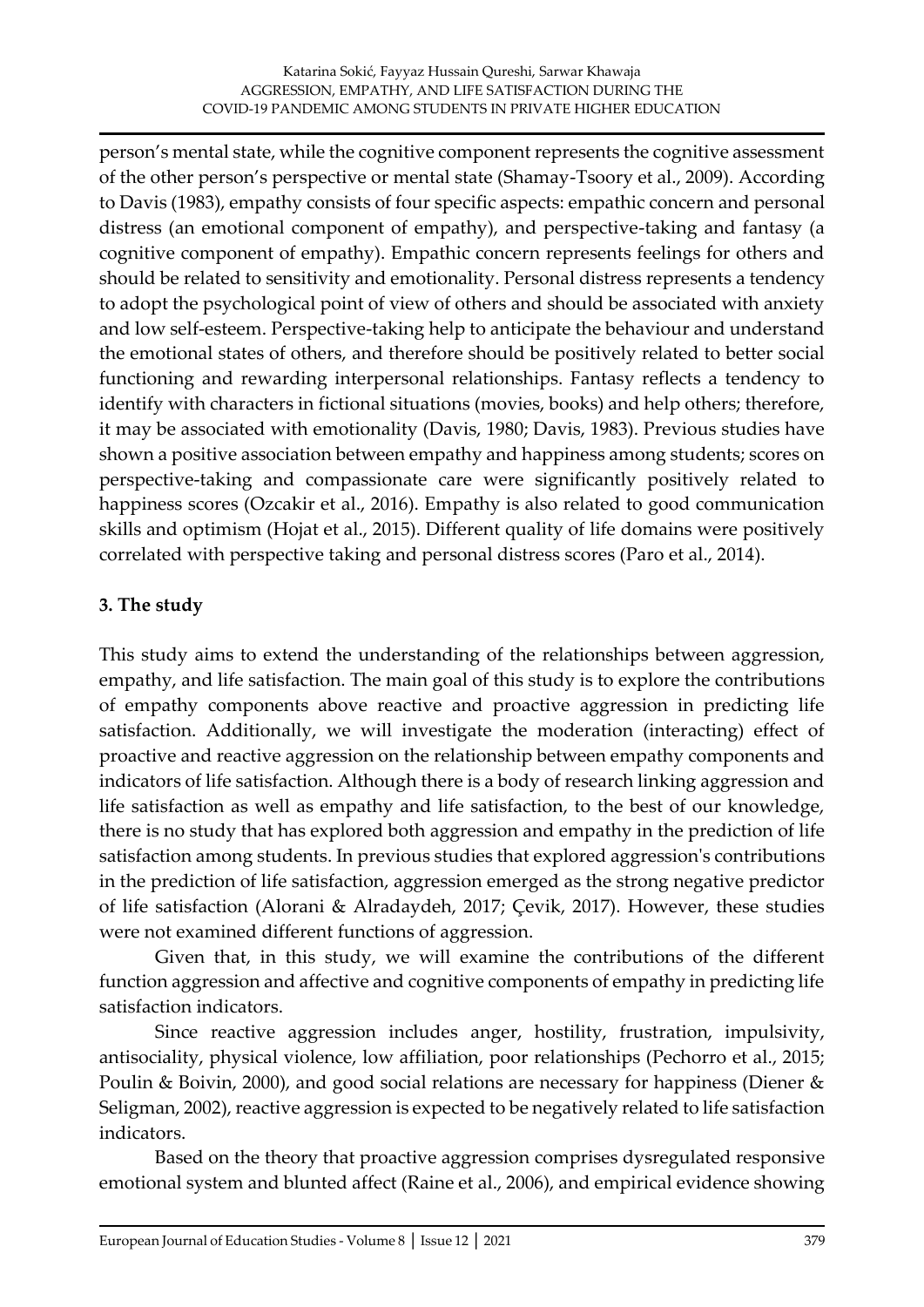person's mental state, while the cognitive component represents the cognitive assessment of the other person's perspective or mental state (Shamay-Tsoory et al., 2009). According to Davis (1983), empathy consists of four specific aspects: empathic concern and personal distress (an emotional component of empathy), and perspective-taking and fantasy (a cognitive component of empathy). Empathic concern represents feelings for others and should be related to sensitivity and emotionality. Personal distress represents a tendency to adopt the psychological point of view of others and should be associated with anxiety and low self-esteem. Perspective-taking help to anticipate the behaviour and understand the emotional states of others, and therefore should be positively related to better social functioning and rewarding interpersonal relationships. Fantasy reflects a tendency to identify with characters in fictional situations (movies, books) and help others; therefore, it may be associated with emotionality (Davis, 1980; Davis, 1983). Previous studies have shown a positive association between empathy and happiness among students; scores on perspective-taking and compassionate care were significantly positively related to happiness scores (Ozcakir et al., 2016). Empathy is also related to good communication skills and optimism (Hojat et al., 2015). Different quality of life domains were positively correlated with perspective taking and personal distress scores (Paro et al., 2014).

# **3. The study**

This study aims to extend the understanding of the relationships between aggression, empathy, and life satisfaction. The main goal of this study is to explore the contributions of empathy components above reactive and proactive aggression in predicting life satisfaction. Additionally, we will investigate the moderation (interacting) effect of proactive and reactive aggression on the relationship between empathy components and indicators of life satisfaction. Although there is a body of research linking aggression and life satisfaction as well as empathy and life satisfaction, to the best of our knowledge, there is no study that has explored both aggression and empathy in the prediction of life satisfaction among students. In previous studies that explored aggression's contributions in the prediction of life satisfaction, aggression emerged as the strong negative predictor of life satisfaction (Alorani & Alradaydeh, 2017; Çevik, 2017). However, these studies were not examined different functions of aggression.

Given that, in this study, we will examine the contributions of the different function aggression and affective and cognitive components of empathy in predicting life satisfaction indicators.

Since reactive aggression includes anger, hostility, frustration, impulsivity, antisociality, physical violence, low affiliation, poor relationships (Pechorro et al., 2015; Poulin & Boivin, 2000), and good social relations are necessary for happiness (Diener & Seligman, 2002), reactive aggression is expected to be negatively related to life satisfaction indicators.

Based on the theory that proactive aggression comprises dysregulated responsive emotional system and blunted affect (Raine et al., 2006), and empirical evidence showing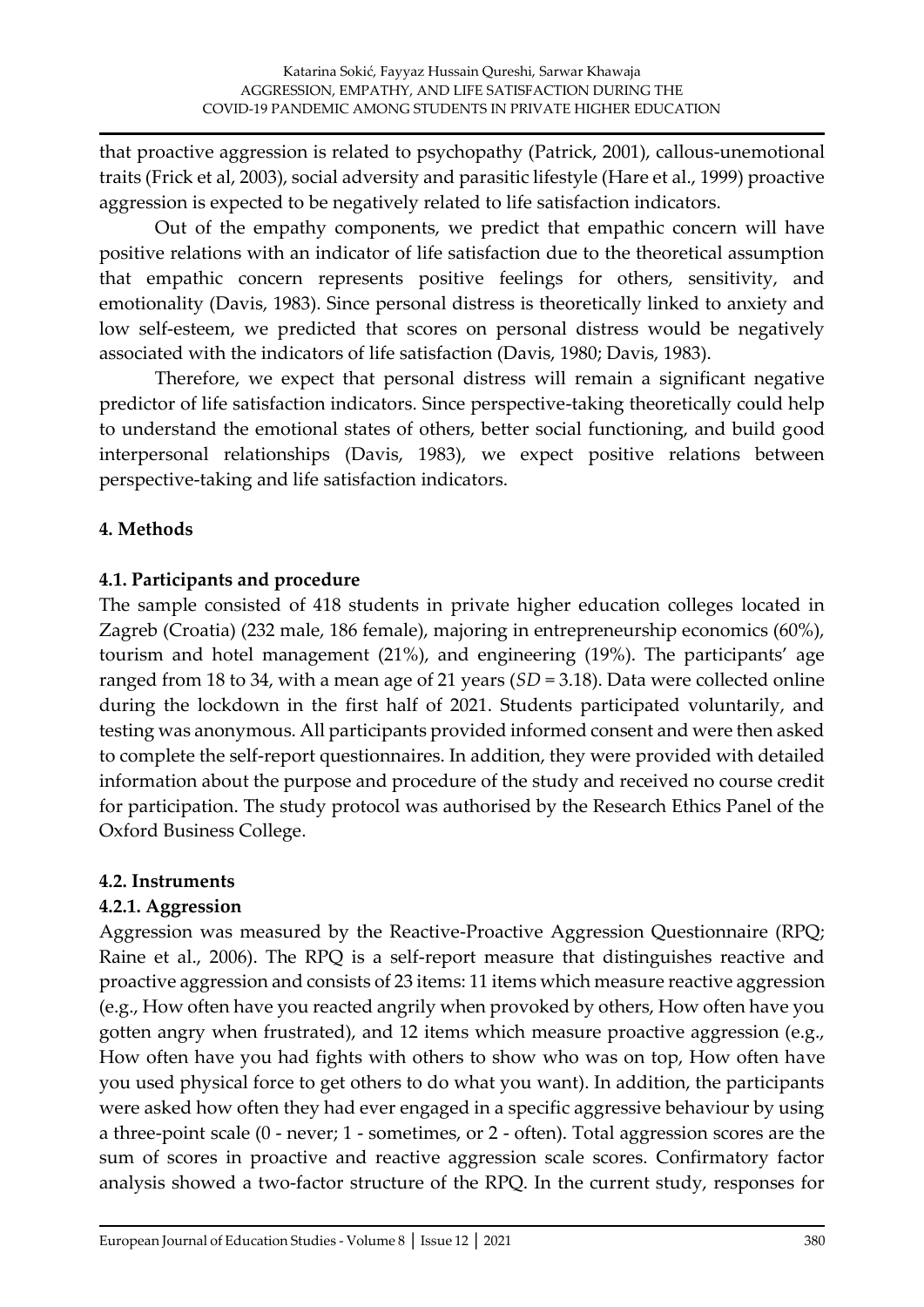that proactive aggression is related to psychopathy (Patrick, 2001), callous-unemotional traits (Frick et al, 2003), social adversity and parasitic lifestyle (Hare et al., 1999) proactive aggression is expected to be negatively related to life satisfaction indicators.

Out of the empathy components, we predict that empathic concern will have positive relations with an indicator of life satisfaction due to the theoretical assumption that empathic concern represents positive feelings for others, sensitivity, and emotionality (Davis, 1983). Since personal distress is theoretically linked to anxiety and low self-esteem, we predicted that scores on personal distress would be negatively associated with the indicators of life satisfaction (Davis, 1980; Davis, 1983).

Therefore, we expect that personal distress will remain a significant negative predictor of life satisfaction indicators. Since perspective-taking theoretically could help to understand the emotional states of others, better social functioning, and build good interpersonal relationships (Davis, 1983), we expect positive relations between perspective-taking and life satisfaction indicators.

# **4. Methods**

#### **4.1. Participants and procedure**

The sample consisted of 418 students in private higher education colleges located in Zagreb (Croatia) (232 male, 186 female), majoring in entrepreneurship economics (60%), tourism and hotel management (21%), and engineering (19%). The participants' age ranged from 18 to 34, with a mean age of 21 years (*SD* = 3.18). Data were collected online during the lockdown in the first half of 2021. Students participated voluntarily, and testing was anonymous. All participants provided informed consent and were then asked to complete the self-report questionnaires. In addition, they were provided with detailed information about the purpose and procedure of the study and received no course credit for participation. The study protocol was authorised by the Research Ethics Panel of the Oxford Business College.

#### **4.2. Instruments**

#### **4.2.1. Aggression**

Aggression was measured by the Reactive-Proactive Aggression Questionnaire (RPQ; Raine et al., 2006). The RPQ is a self-report measure that distinguishes reactive and proactive aggression and consists of 23 items: 11 items which measure reactive aggression (e.g., How often have you reacted angrily when provoked by others, How often have you gotten angry when frustrated), and 12 items which measure proactive aggression (e.g., How often have you had fights with others to show who was on top, How often have you used physical force to get others to do what you want). In addition, the participants were asked how often they had ever engaged in a specific aggressive behaviour by using a three-point scale (0 - never; 1 - sometimes, or 2 - often). Total aggression scores are the sum of scores in proactive and reactive aggression scale scores. Confirmatory factor analysis showed a two-factor structure of the RPQ. In the current study, responses for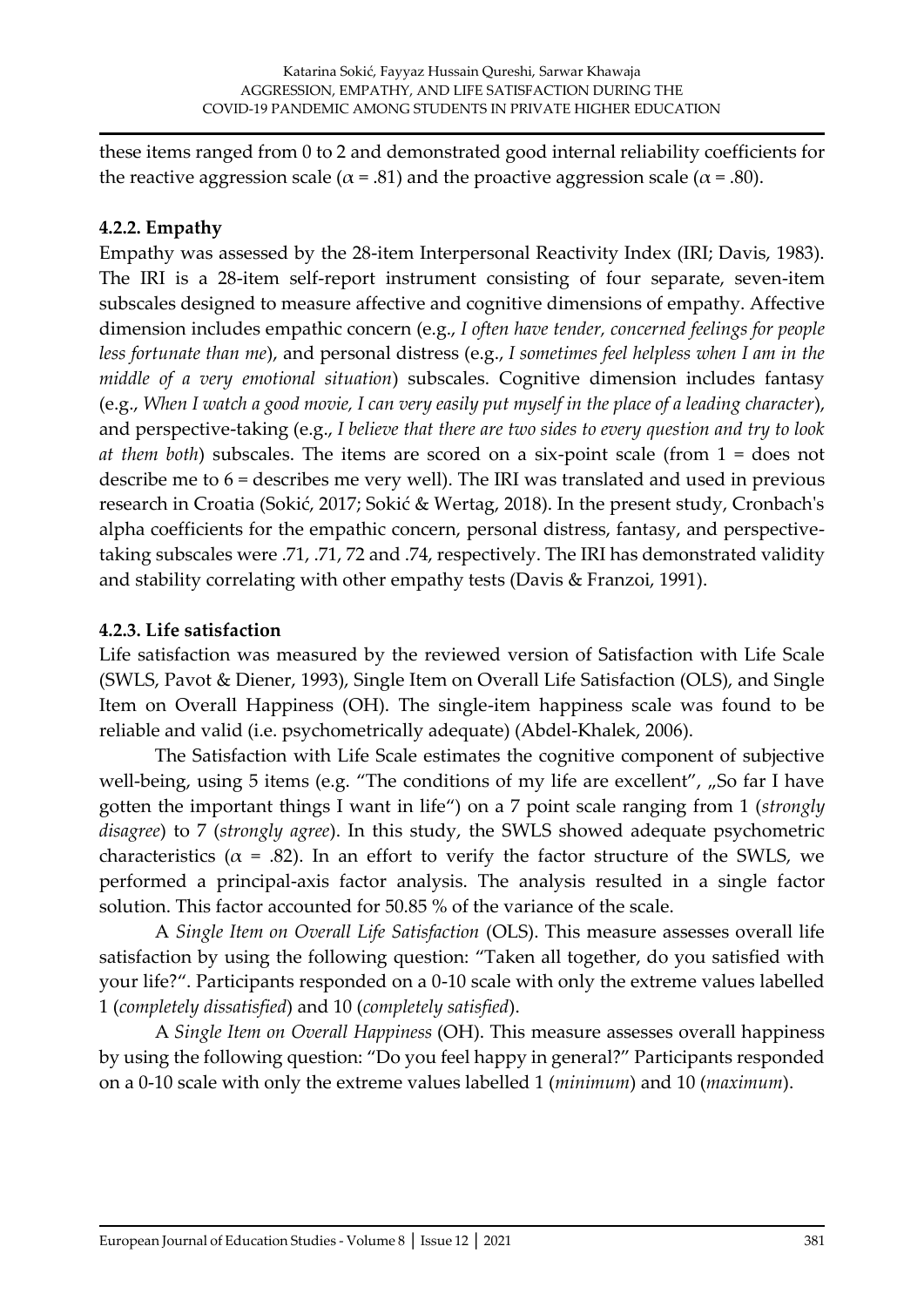these items ranged from 0 to 2 and demonstrated good internal reliability coefficients for the reactive aggression scale ( $\alpha$  = .81) and the proactive aggression scale ( $\alpha$  = .80).

# **4.2.2. Empathy**

Empathy was assessed by the 28-item Interpersonal Reactivity Index (IRI; Davis, 1983). The IRI is a 28-item self-report instrument consisting of four separate, seven-item subscales designed to measure affective and cognitive dimensions of empathy. Affective dimension includes empathic concern (e.g., *I often have tender, concerned feelings for people less fortunate than me*), and personal distress (e.g., *I sometimes feel helpless when I am in the middle of a very emotional situation*) subscales. Cognitive dimension includes fantasy (e.g., *When I watch a good movie, I can very easily put myself in the place of a leading character*), and perspective-taking (e.g., *I believe that there are two sides to every question and try to look at them both*) subscales. The items are scored on a six-point scale (from 1 = does not describe me to 6 = describes me very well). The IRI was translated and used in previous research in Croatia (Sokić, 2017; Sokić & Wertag, 2018). In the present study, Cronbach's alpha coefficients for the empathic concern, personal distress, fantasy, and perspectivetaking subscales were .71, .71, 72 and .74, respectively. The IRI has demonstrated validity and stability correlating with other empathy tests (Davis & Franzoi, 1991).

# **4.2.3. Life satisfaction**

Life satisfaction was measured by the reviewed version of Satisfaction with Life Scale (SWLS, Pavot & Diener, 1993), Single Item on Overall Life Satisfaction (OLS), and Single Item on Overall Happiness (OH). The single-item happiness scale was found to be reliable and valid (i.e. psychometrically adequate) (Abdel-Khalek, 2006).

The Satisfaction with Life Scale estimates the cognitive component of subjective well-being, using 5 items (e.g. "The conditions of my life are excellent",  $\mathcal{S}$  far I have gotten the important things I want in life") on a 7 point scale ranging from 1 (*strongly disagree*) to 7 (*strongly agree*). In this study, the SWLS showed adequate psychometric characteristics ( $\alpha$  = .82). In an effort to verify the factor structure of the SWLS, we performed a principal-axis factor analysis. The analysis resulted in a single factor solution. This factor accounted for 50.85 % of the variance of the scale.

A *Single Item on Overall Life Satisfaction* (OLS). This measure assesses overall life satisfaction by using the following question: "Taken all together, do you satisfied with your life?". Participants responded on a 0-10 scale with only the extreme values labelled 1 (*completely dissatisfied*) and 10 (*completely satisfied*).

A *Single Item on Overall Happiness* (OH). This measure assesses overall happiness by using the following question: "Do you feel happy in general?" Participants responded on a 0-10 scale with only the extreme values labelled 1 (*minimum*) and 10 (*maximum*).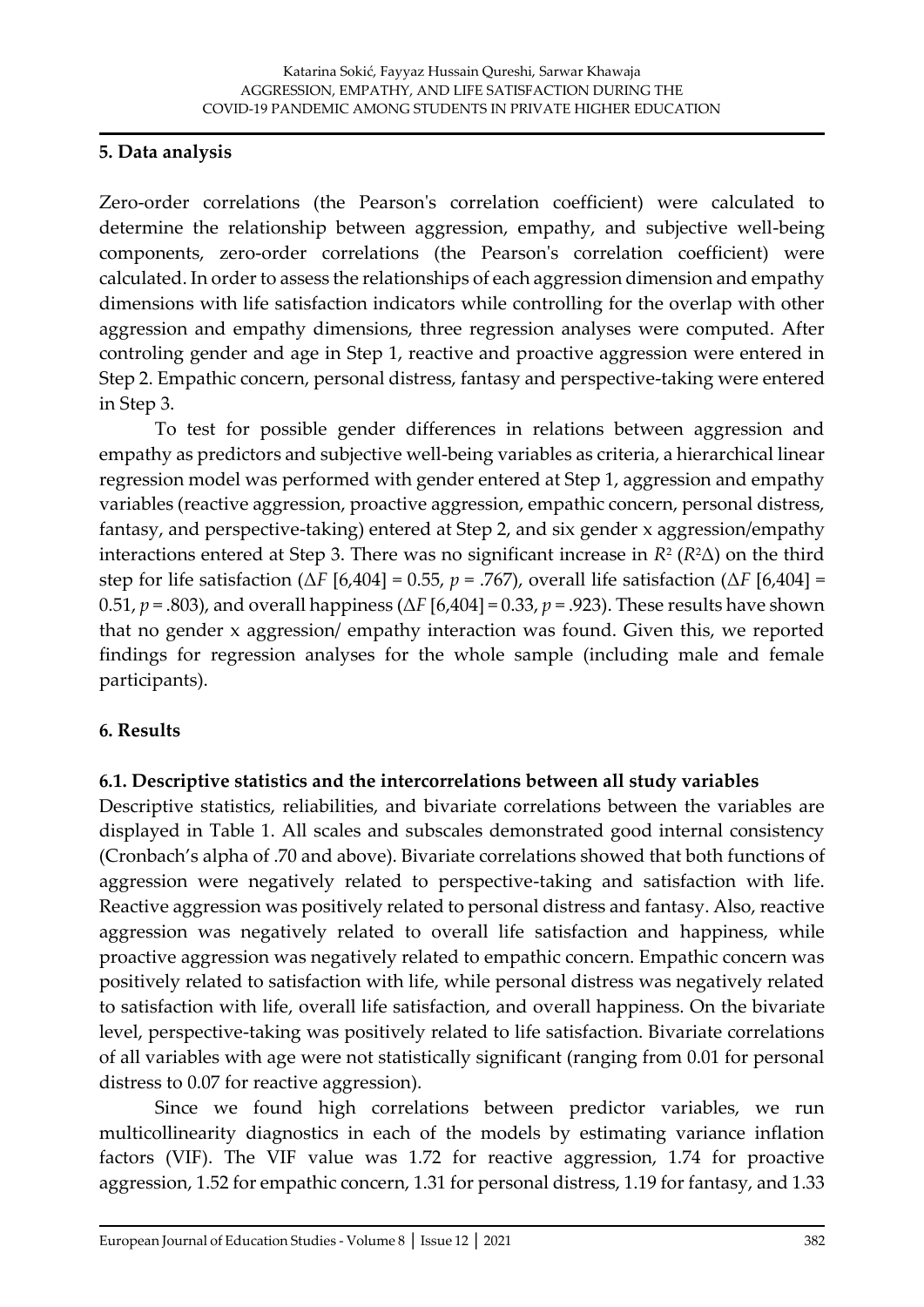#### **5. Data analysis**

Zero-order correlations (the Pearson's correlation coefficient) were calculated to determine the relationship between aggression, empathy, and subjective well-being components, zero-order correlations (the Pearson's correlation coefficient) were calculated. In order to assess the relationships of each aggression dimension and empathy dimensions with life satisfaction indicators while controlling for the overlap with other aggression and empathy dimensions, three regression analyses were computed. After controling gender and age in Step 1, reactive and proactive aggression were entered in Step 2. Empathic concern, personal distress, fantasy and perspective-taking were entered in Step 3.

To test for possible gender differences in relations between aggression and empathy as predictors and subjective well-being variables as criteria, a hierarchical linear regression model was performed with gender entered at Step 1, aggression and empathy variables (reactive aggression, proactive aggression, empathic concern, personal distress, fantasy, and perspective-taking) entered at Step 2, and six gender x aggression/empathy interactions entered at Step 3. There was no significant increase in *R*<sup>2</sup> (*R*2Δ) on the third step for life satisfaction (Δ*F* [6,404] = 0.55, *p* = .767), overall life satisfaction (Δ*F* [6,404] = 0.51, *p* = .803), and overall happiness (Δ*F* [6,404] = 0.33, *p* = .923). These results have shown that no gender x aggression/ empathy interaction was found. Given this, we reported findings for regression analyses for the whole sample (including male and female participants).

#### **6. Results**

#### **6.1. Descriptive statistics and the intercorrelations between all study variables**

Descriptive statistics, reliabilities, and bivariate correlations between the variables are displayed in Table 1. All scales and subscales demonstrated good internal consistency (Cronbach's alpha of .70 and above). Bivariate correlations showed that both functions of aggression were negatively related to perspective-taking and satisfaction with life. Reactive aggression was positively related to personal distress and fantasy. Also, reactive aggression was negatively related to overall life satisfaction and happiness, while proactive aggression was negatively related to empathic concern. Empathic concern was positively related to satisfaction with life, while personal distress was negatively related to satisfaction with life, overall life satisfaction, and overall happiness. On the bivariate level, perspective-taking was positively related to life satisfaction. Bivariate correlations of all variables with age were not statistically significant (ranging from 0.01 for personal distress to 0.07 for reactive aggression).

Since we found high correlations between predictor variables, we run multicollinearity diagnostics in each of the models by estimating variance inflation factors (VIF). The VIF value was 1.72 for reactive aggression, 1.74 for proactive aggression, 1.52 for empathic concern, 1.31 for personal distress, 1.19 for fantasy, and 1.33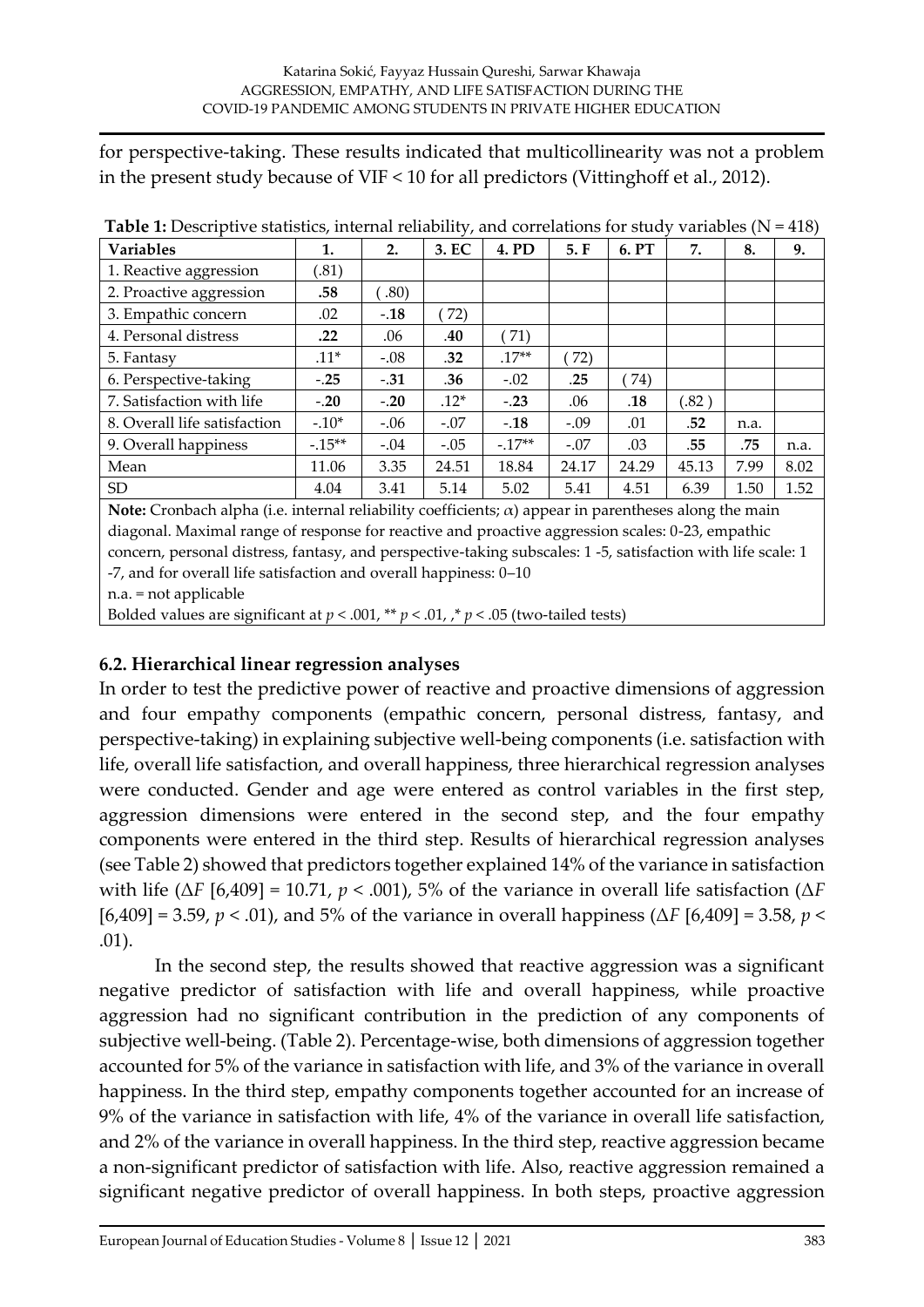for perspective-taking. These results indicated that multicollinearity was not a problem in the present study because of VIF < 10 for all predictors (Vittinghoff et al., 2012).

| <b>Variables</b>             | 1.       | 2.     | 3. EC  | 4. PD   | 5.F    | 6. PT | 7.    | 8.   | 9.   |
|------------------------------|----------|--------|--------|---------|--------|-------|-------|------|------|
| 1. Reactive aggression       | (.81)    |        |        |         |        |       |       |      |      |
| 2. Proactive aggression      | .58      | .80)   |        |         |        |       |       |      |      |
| 3. Empathic concern          | .02      | $-.18$ | 72)    |         |        |       |       |      |      |
| 4. Personal distress         | $.22\,$  | .06    | .40    | (71)    |        |       |       |      |      |
| 5. Fantasy                   | $.11*$   | $-.08$ | .32    | $.17**$ | 72)    |       |       |      |      |
| 6. Perspective-taking        | $-.25$   | $-.31$ | .36    | $-.02$  | .25    | 74)   |       |      |      |
| 7. Satisfaction with life    | $-.20$   | $-.20$ | $.12*$ | $-.23$  | .06    | .18   | (.82) |      |      |
| 8. Overall life satisfaction | $-.10*$  | $-.06$ | $-.07$ | $-.18$  | $-.09$ | .01   | .52   | n.a. |      |
| 9. Overall happiness         | $-.15**$ | $-.04$ | $-.05$ | $-17**$ | $-.07$ | .03   | .55   | .75  | n.a. |
| Mean                         | 11.06    | 3.35   | 24.51  | 18.84   | 24.17  | 24.29 | 45.13 | 7.99 | 8.02 |
| SD <sub>1</sub>              | 4.04     | 3.41   | 5.14   | 5.02    | 5.41   | 4.51  | 6.39  | 1.50 | 1.52 |

**Table 1:** Descriptive statistics, internal reliability, and correlations for study variables ( $N = 418$ )

**Note:** Cronbach alpha (i.e. internal reliability coefficients; α) appear in parentheses along the main diagonal. Maximal range of response for reactive and proactive aggression scales: 0-23, empathic concern, personal distress, fantasy, and perspective-taking subscales: 1 -5, satisfaction with life scale: 1 -7, and for overall life satisfaction and overall happiness: 0–10 n.a. = not applicable

Bolded values are significant at  $p < .001$ , \*\*  $p < .01$ , \*  $p < .05$  (two-tailed tests)

### **6.2. Hierarchical linear regression analyses**

In order to test the predictive power of reactive and proactive dimensions of aggression and four empathy components (empathic concern, personal distress, fantasy, and perspective-taking) in explaining subjective well-being components (i.e. satisfaction with life, overall life satisfaction, and overall happiness, three hierarchical regression analyses were conducted. Gender and age were entered as control variables in the first step, aggression dimensions were entered in the second step, and the four empathy components were entered in the third step. Results of hierarchical regression analyses (see Table 2) showed that predictors together explained 14% of the variance in satisfaction with life ( $\Delta F$  [6,409] = 10.71,  $p < .001$ ), 5% of the variance in overall life satisfaction ( $\Delta F$ [6,409] = 3.59, *p* < .01), and 5% of the variance in overall happiness (Δ*F* [6,409] = 3.58, *p* < .01).

In the second step, the results showed that reactive aggression was a significant negative predictor of satisfaction with life and overall happiness, while proactive aggression had no significant contribution in the prediction of any components of subjective well-being. (Table 2). Percentage-wise, both dimensions of aggression together accounted for 5% of the variance in satisfaction with life, and 3% of the variance in overall happiness. In the third step, empathy components together accounted for an increase of 9% of the variance in satisfaction with life, 4% of the variance in overall life satisfaction, and 2% of the variance in overall happiness. In the third step, reactive aggression became a non-significant predictor of satisfaction with life. Also, reactive aggression remained a significant negative predictor of overall happiness. In both steps, proactive aggression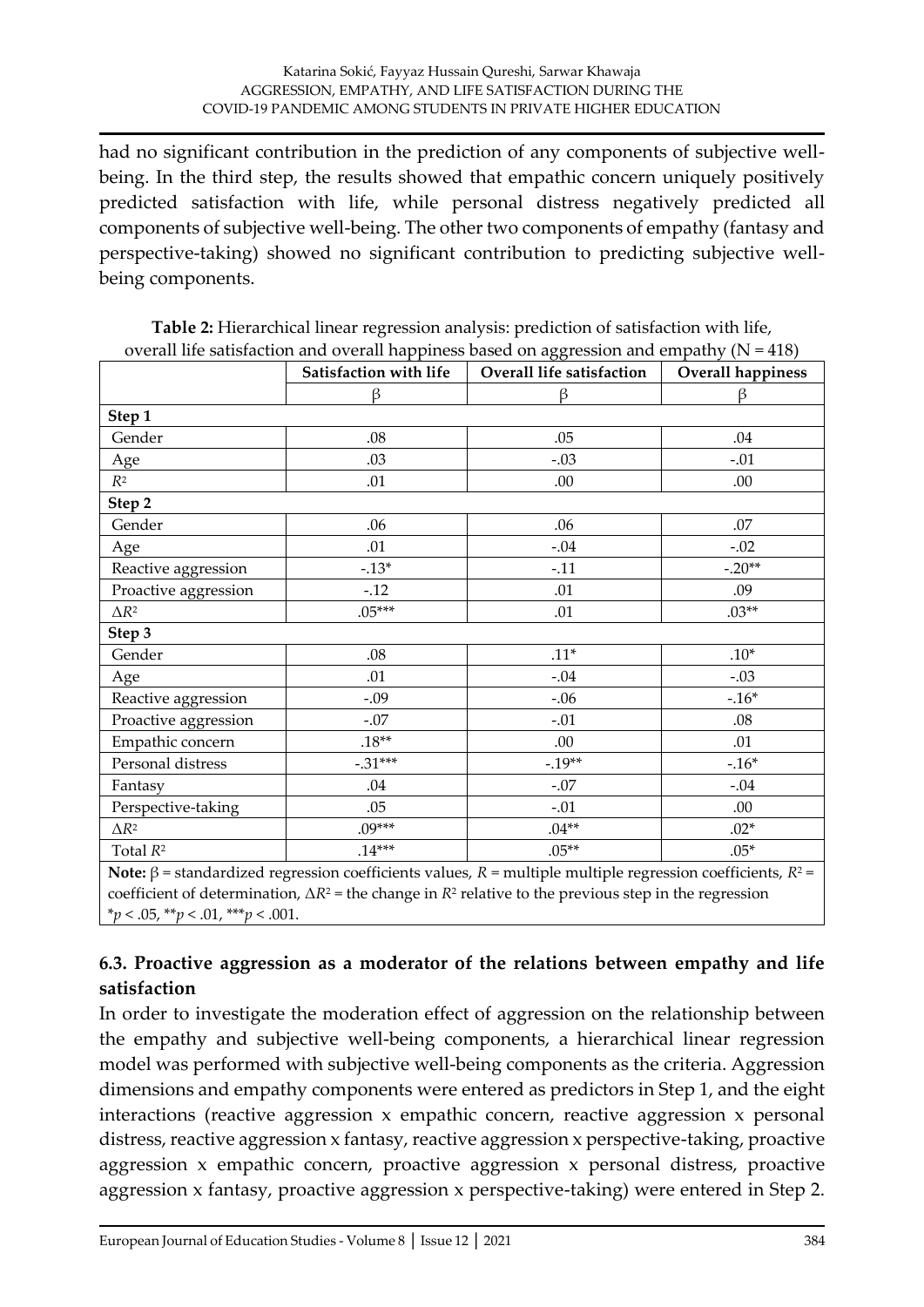had no significant contribution in the prediction of any components of subjective wellbeing. In the third step, the results showed that empathic concern uniquely positively predicted satisfaction with life, while personal distress negatively predicted all components of subjective well-being. The other two components of empathy (fantasy and perspective-taking) showed no significant contribution to predicting subjective wellbeing components.

|                                                                                                                                                                                                                                                                                                                                                         | Satisfaction with life | Overall life satisfaction | $\alpha$ , $\alpha$ , $\alpha$ , $\alpha$ , $\alpha$ , $\alpha$ , $\alpha$ , $\alpha$ , $\alpha$ , $\alpha$ , $\alpha$ , $\alpha$ , $\alpha$ , $\alpha$ , $\alpha$ , $\alpha$ , $\alpha$<br>Overall happiness |  |  |  |  |
|---------------------------------------------------------------------------------------------------------------------------------------------------------------------------------------------------------------------------------------------------------------------------------------------------------------------------------------------------------|------------------------|---------------------------|---------------------------------------------------------------------------------------------------------------------------------------------------------------------------------------------------------------|--|--|--|--|
|                                                                                                                                                                                                                                                                                                                                                         | β                      | β                         | β                                                                                                                                                                                                             |  |  |  |  |
| Step 1                                                                                                                                                                                                                                                                                                                                                  |                        |                           |                                                                                                                                                                                                               |  |  |  |  |
| Gender                                                                                                                                                                                                                                                                                                                                                  | .08                    | .05                       | .04                                                                                                                                                                                                           |  |  |  |  |
| Age                                                                                                                                                                                                                                                                                                                                                     | .03                    | $-.03$                    | $-.01$                                                                                                                                                                                                        |  |  |  |  |
| $R^2$                                                                                                                                                                                                                                                                                                                                                   | .01                    | .00                       | .00                                                                                                                                                                                                           |  |  |  |  |
| Step 2                                                                                                                                                                                                                                                                                                                                                  |                        |                           |                                                                                                                                                                                                               |  |  |  |  |
| Gender                                                                                                                                                                                                                                                                                                                                                  | .06                    | .06                       | .07                                                                                                                                                                                                           |  |  |  |  |
| Age                                                                                                                                                                                                                                                                                                                                                     | .01                    | $-.04$                    | $-.02$                                                                                                                                                                                                        |  |  |  |  |
| Reactive aggression                                                                                                                                                                                                                                                                                                                                     | $-.13*$                | $-.11$                    | $-.20**$                                                                                                                                                                                                      |  |  |  |  |
| Proactive aggression                                                                                                                                                                                                                                                                                                                                    | $-.12$                 | .01                       | .09                                                                                                                                                                                                           |  |  |  |  |
| $\Delta R^2$                                                                                                                                                                                                                                                                                                                                            | $.05***$               | .01                       | $.03**$                                                                                                                                                                                                       |  |  |  |  |
| Step 3                                                                                                                                                                                                                                                                                                                                                  |                        |                           |                                                                                                                                                                                                               |  |  |  |  |
| Gender                                                                                                                                                                                                                                                                                                                                                  | .08                    | $.11*$                    | $.10*$                                                                                                                                                                                                        |  |  |  |  |
| Age                                                                                                                                                                                                                                                                                                                                                     | .01                    | $-.04$                    | $-.03$                                                                                                                                                                                                        |  |  |  |  |
| Reactive aggression                                                                                                                                                                                                                                                                                                                                     | $-.09$                 | $-.06$                    | $-.16*$                                                                                                                                                                                                       |  |  |  |  |
| Proactive aggression                                                                                                                                                                                                                                                                                                                                    | $-.07$                 | $-.01$                    | .08                                                                                                                                                                                                           |  |  |  |  |
| Empathic concern                                                                                                                                                                                                                                                                                                                                        | $.18**$                | .00                       | .01                                                                                                                                                                                                           |  |  |  |  |
| Personal distress                                                                                                                                                                                                                                                                                                                                       | $-.31***$              | $-.19**$                  | $-.16*$                                                                                                                                                                                                       |  |  |  |  |
| Fantasy                                                                                                                                                                                                                                                                                                                                                 | .04                    | $-.07$                    | $-.04$                                                                                                                                                                                                        |  |  |  |  |
| Perspective-taking                                                                                                                                                                                                                                                                                                                                      | .05                    | $-.01$                    | .00                                                                                                                                                                                                           |  |  |  |  |
| $\Delta R^2$                                                                                                                                                                                                                                                                                                                                            | $.09***$               | $.04**$                   | $.02*$                                                                                                                                                                                                        |  |  |  |  |
| Total $R^2$                                                                                                                                                                                                                                                                                                                                             | $.14***$               | $.05**$                   | $.05*$                                                                                                                                                                                                        |  |  |  |  |
| Note: $\beta$ = standardized regression coefficients values, $R$ = multiple multiple regression coefficients, $R^2$ =<br>a contract and contract and the second contract of the second contract of the second second and a second and second and a second and a second and a second and a second and a second and a second and a second and a second an |                        |                           |                                                                                                                                                                                                               |  |  |  |  |

**Table 2:** Hierarchical linear regression analysis: prediction of satisfaction with life, overall life satisfaction and overall happiness based on aggression and empathy  $(N = 418)$ 

coefficient of determination,  $\Delta R^2$  = the change in  $R^2$  relative to the previous step in the regression \**p* < .05, \*\**p* < .01, \*\*\**p* < .001.

# **6.3. Proactive aggression as a moderator of the relations between empathy and life satisfaction**

In order to investigate the moderation effect of aggression on the relationship between the empathy and subjective well-being components, a hierarchical linear regression model was performed with subjective well-being components as the criteria. Aggression dimensions and empathy components were entered as predictors in Step 1, and the eight interactions (reactive aggression x empathic concern, reactive aggression x personal distress, reactive aggression x fantasy, reactive aggression x perspective-taking, proactive aggression x empathic concern, proactive aggression x personal distress, proactive aggression x fantasy, proactive aggression x perspective-taking) were entered in Step 2.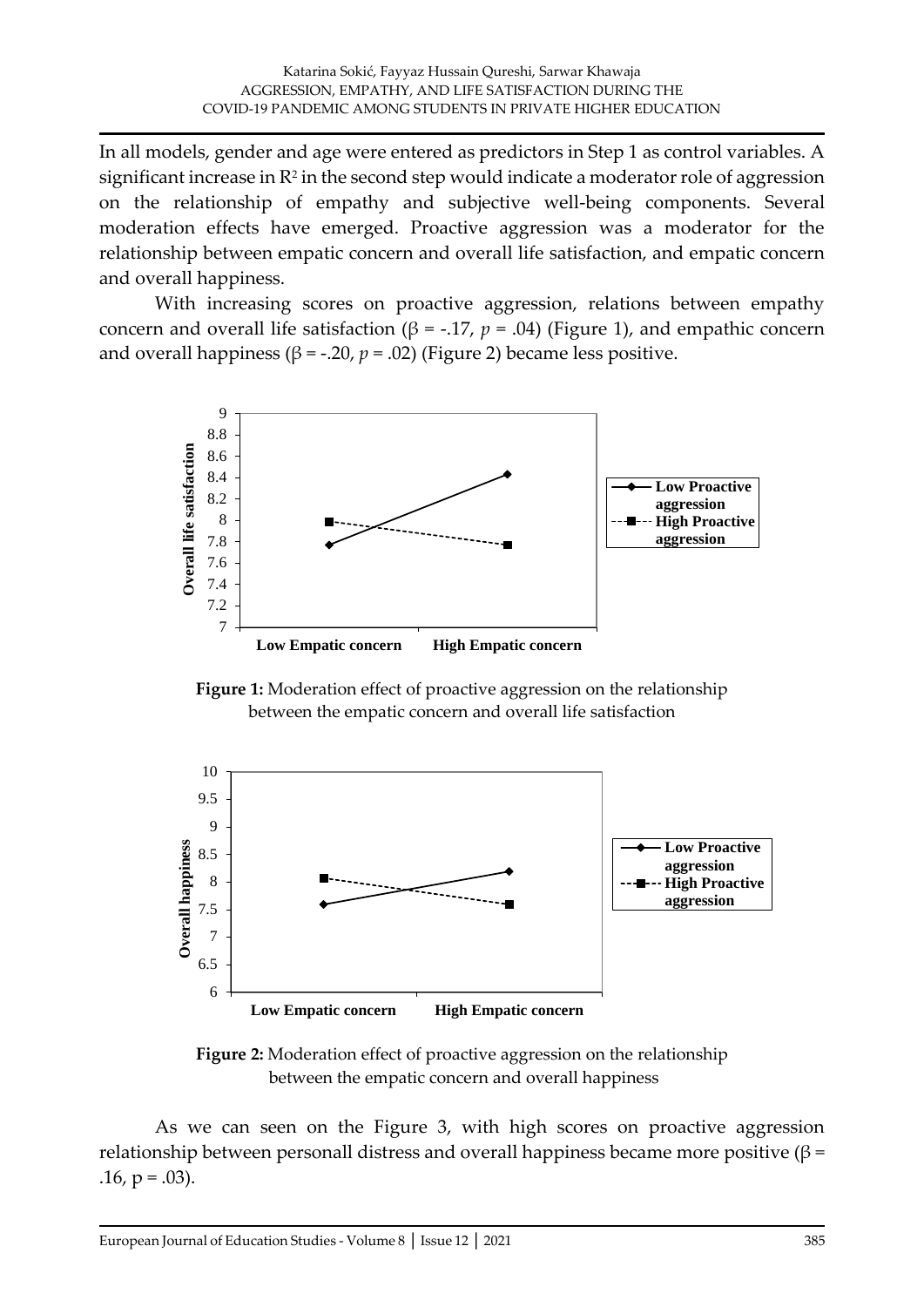In all models, gender and age were entered as predictors in Step 1 as control variables. A significant increase in  $\mathbb{R}^2$  in the second step would indicate a moderator role of aggression on the relationship of empathy and subjective well-being components. Several moderation effects have emerged. Proactive aggression was a moderator for the relationship between empatic concern and overall life satisfaction, and empatic concern and overall happiness.

With increasing scores on proactive aggression, relations between empathy concern and overall life satisfaction (β = -.17,  $p = .04$ ) (Figure 1), and empathic concern and overall happiness ( $\beta$  = -.20,  $p$  = .02) (Figure 2) became less positive.



**Figure 1:** Moderation effect of proactive aggression on the relationship between the empatic concern and overall life satisfaction



**Figure 2:** Moderation effect of proactive aggression on the relationship between the empatic concern and overall happiness

As we can seen on the Figure 3, with high scores on proactive aggression relationship between personall distress and overall happiness became more positive ( $β =$  $.16, p = .03$ ).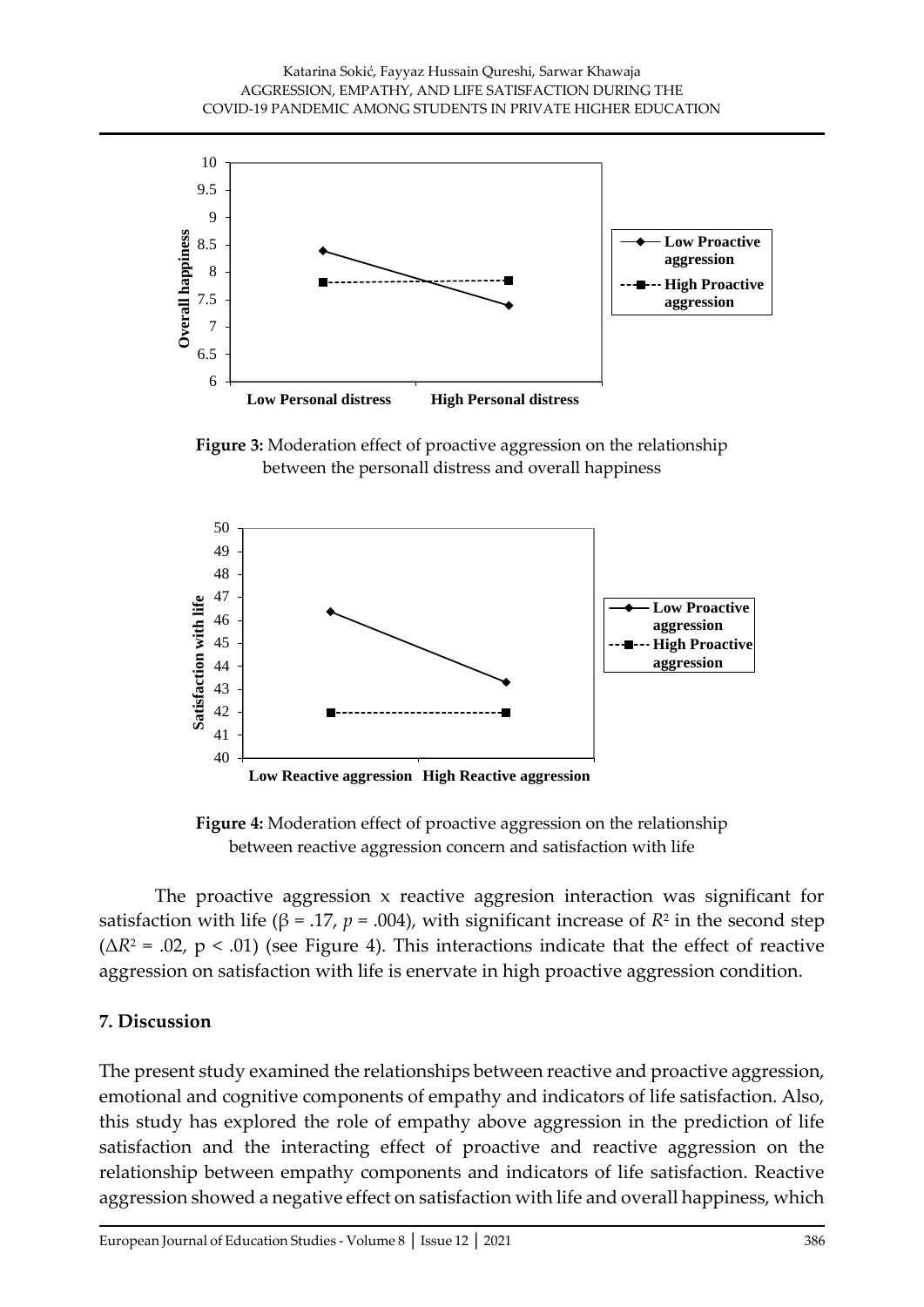

**Figure 3:** Moderation effect of proactive aggression on the relationship between the personall distress and overall happiness



**Figure 4:** Moderation effect of proactive aggression on the relationship between reactive aggression concern and satisfaction with life

The proactive aggression x reactive aggresion interaction was significant for satisfaction with life (β = .17,  $p$  = .004), with significant increase of  $R^2$  in the second step  $(\Delta R^2 = .02, p < .01)$  (see Figure 4). This interactions indicate that the effect of reactive aggression on satisfaction with life is enervate in high proactive aggression condition.

#### **7. Discussion**

The present study examined the relationships between reactive and proactive aggression, emotional and cognitive components of empathy and indicators of life satisfaction. Also, this study has explored the role of empathy above aggression in the prediction of life satisfaction and the interacting effect of proactive and reactive aggression on the relationship between empathy components and indicators of life satisfaction. Reactive aggression showed a negative effect on satisfaction with life and overall happiness, which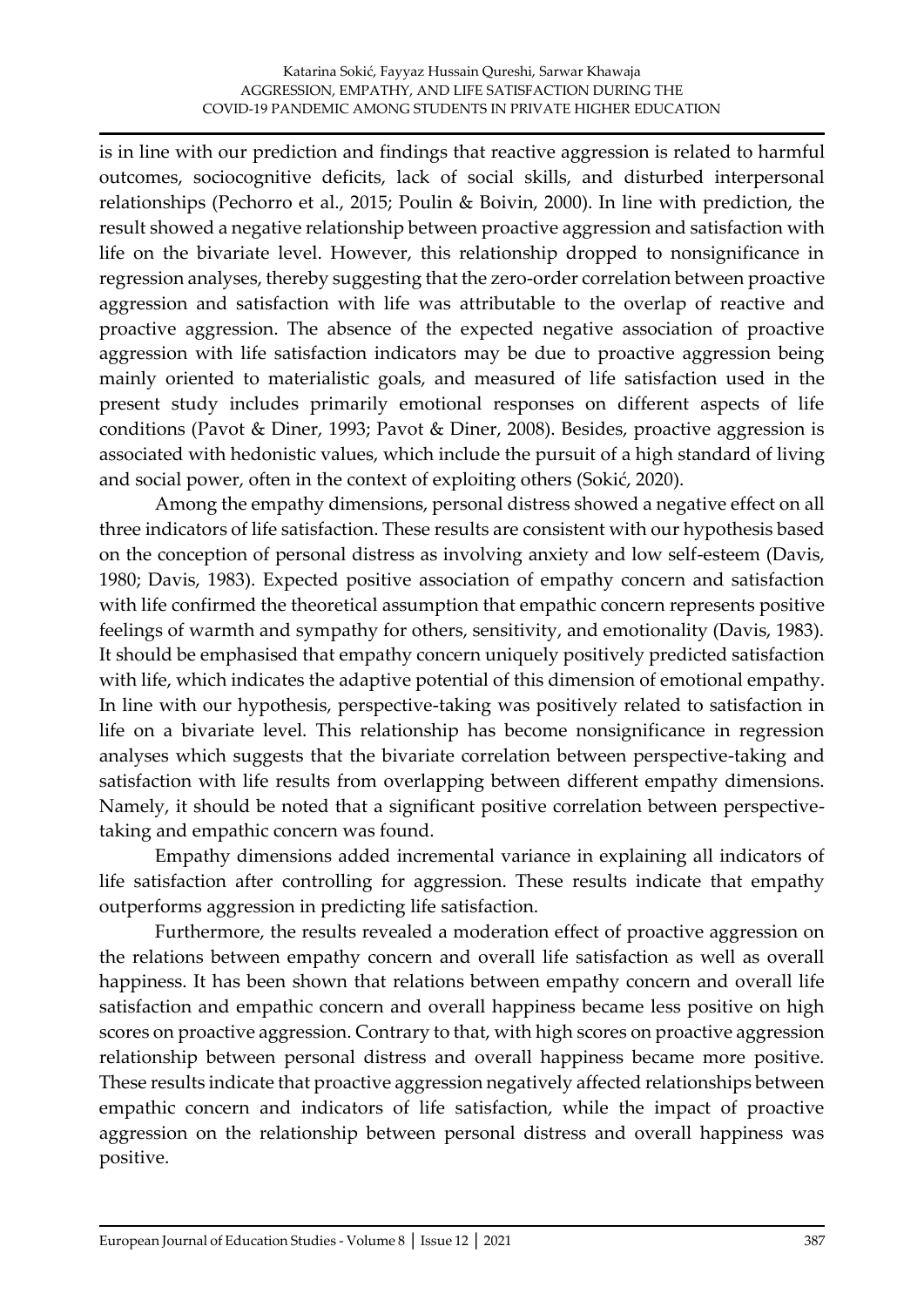is in line with our prediction and findings that reactive aggression is related to harmful outcomes, sociocognitive deficits, lack of social skills, and disturbed interpersonal relationships (Pechorro et al., 2015; Poulin & Boivin, 2000). In line with prediction, the result showed a negative relationship between proactive aggression and satisfaction with life on the bivariate level. However, this relationship dropped to nonsignificance in regression analyses, thereby suggesting that the zero-order correlation between proactive aggression and satisfaction with life was attributable to the overlap of reactive and proactive aggression. The absence of the expected negative association of proactive aggression with life satisfaction indicators may be due to proactive aggression being mainly oriented to materialistic goals, and measured of life satisfaction used in the present study includes primarily emotional responses on different aspects of life conditions (Pavot & Diner, 1993; Pavot & Diner, 2008). Besides, proactive aggression is associated with hedonistic values, which include the pursuit of a high standard of living and social power, often in the context of exploiting others (Sokić, 2020).

Among the empathy dimensions, personal distress showed a negative effect on all three indicators of life satisfaction. These results are consistent with our hypothesis based on the conception of personal distress as involving anxiety and low self-esteem (Davis, 1980; Davis, 1983). Expected positive association of empathy concern and satisfaction with life confirmed the theoretical assumption that empathic concern represents positive feelings of warmth and sympathy for others, sensitivity, and emotionality (Davis, 1983). It should be emphasised that empathy concern uniquely positively predicted satisfaction with life, which indicates the adaptive potential of this dimension of emotional empathy. In line with our hypothesis, perspective-taking was positively related to satisfaction in life on a bivariate level. This relationship has become nonsignificance in regression analyses which suggests that the bivariate correlation between perspective-taking and satisfaction with life results from overlapping between different empathy dimensions. Namely, it should be noted that a significant positive correlation between perspectivetaking and empathic concern was found.

Empathy dimensions added incremental variance in explaining all indicators of life satisfaction after controlling for aggression. These results indicate that empathy outperforms aggression in predicting life satisfaction.

Furthermore, the results revealed a moderation effect of proactive aggression on the relations between empathy concern and overall life satisfaction as well as overall happiness. It has been shown that relations between empathy concern and overall life satisfaction and empathic concern and overall happiness became less positive on high scores on proactive aggression. Contrary to that, with high scores on proactive aggression relationship between personal distress and overall happiness became more positive. These results indicate that proactive aggression negatively affected relationships between empathic concern and indicators of life satisfaction, while the impact of proactive aggression on the relationship between personal distress and overall happiness was positive.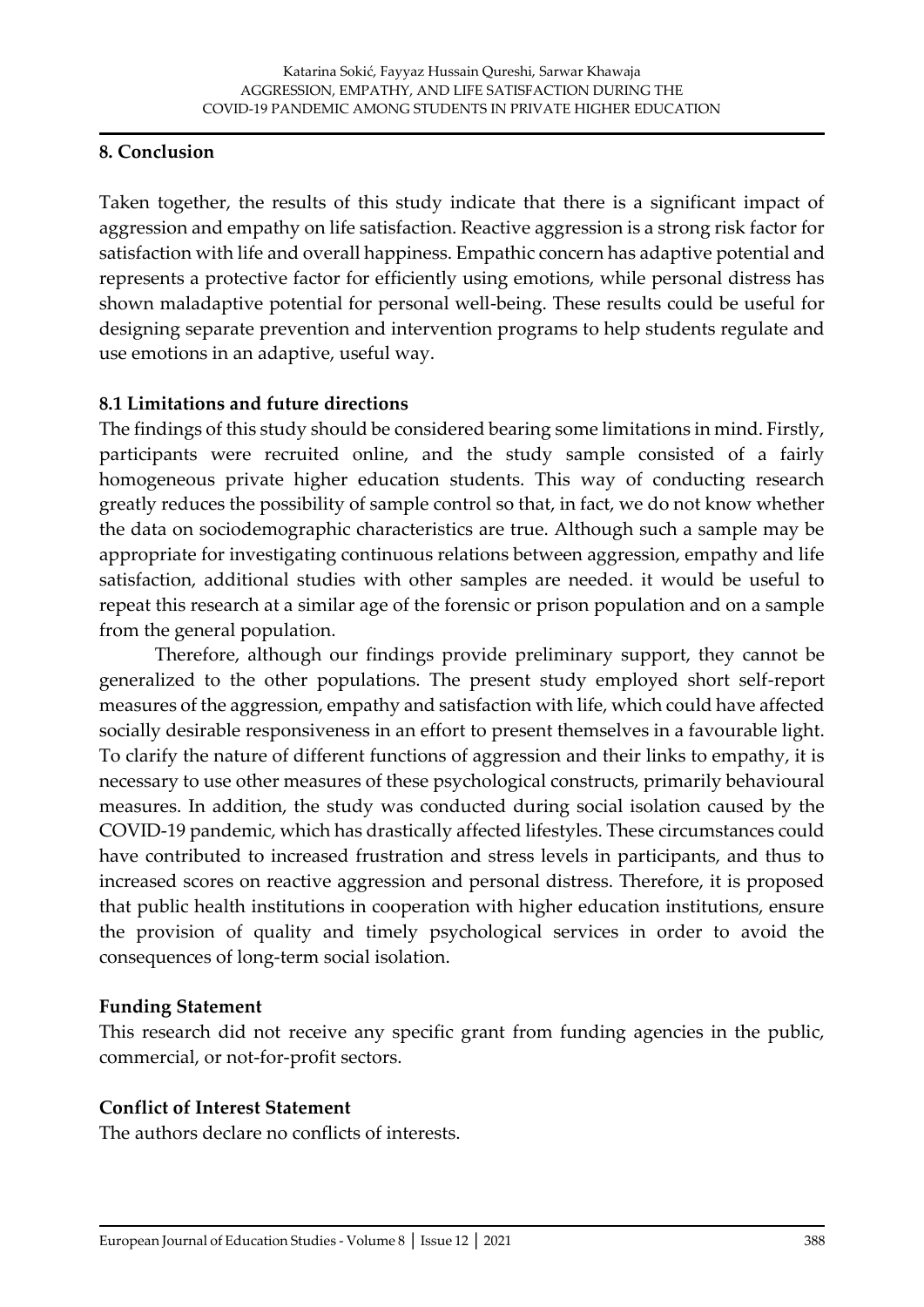#### **8. Conclusion**

Taken together, the results of this study indicate that there is a significant impact of aggression and empathy on life satisfaction. Reactive aggression is a strong risk factor for satisfaction with life and overall happiness. Empathic concern has adaptive potential and represents a protective factor for efficiently using emotions, while personal distress has shown maladaptive potential for personal well-being. These results could be useful for designing separate prevention and intervention programs to help students regulate and use emotions in an adaptive, useful way.

# **8.1 Limitations and future directions**

The findings of this study should be considered bearing some limitations in mind. Firstly, participants were recruited online, and the study sample consisted of a fairly homogeneous private higher education students. This way of conducting research greatly reduces the possibility of sample control so that, in fact, we do not know whether the data on sociodemographic characteristics are true. Although such a sample may be appropriate for investigating continuous relations between aggression, empathy and life satisfaction, additional studies with other samples are needed. it would be useful to repeat this research at a similar age of the forensic or prison population and on a sample from the general population.

Therefore, although our findings provide preliminary support, they cannot be generalized to the other populations. The present study employed short self-report measures of the aggression, empathy and satisfaction with life, which could have affected socially desirable responsiveness in an effort to present themselves in a favourable light. To clarify the nature of different functions of aggression and their links to empathy, it is necessary to use other measures of these psychological constructs, primarily behavioural measures. In addition, the study was conducted during social isolation caused by the COVID-19 pandemic, which has drastically affected lifestyles. These circumstances could have contributed to increased frustration and stress levels in participants, and thus to increased scores on reactive aggression and personal distress. Therefore, it is proposed that public health institutions in cooperation with higher education institutions, ensure the provision of quality and timely psychological services in order to avoid the consequences of long-term social isolation.

#### **Funding Statement**

This research did not receive any specific grant from funding agencies in the public, commercial, or not-for-profit sectors.

#### **Conflict of Interest Statement**

The authors declare no conflicts of interests.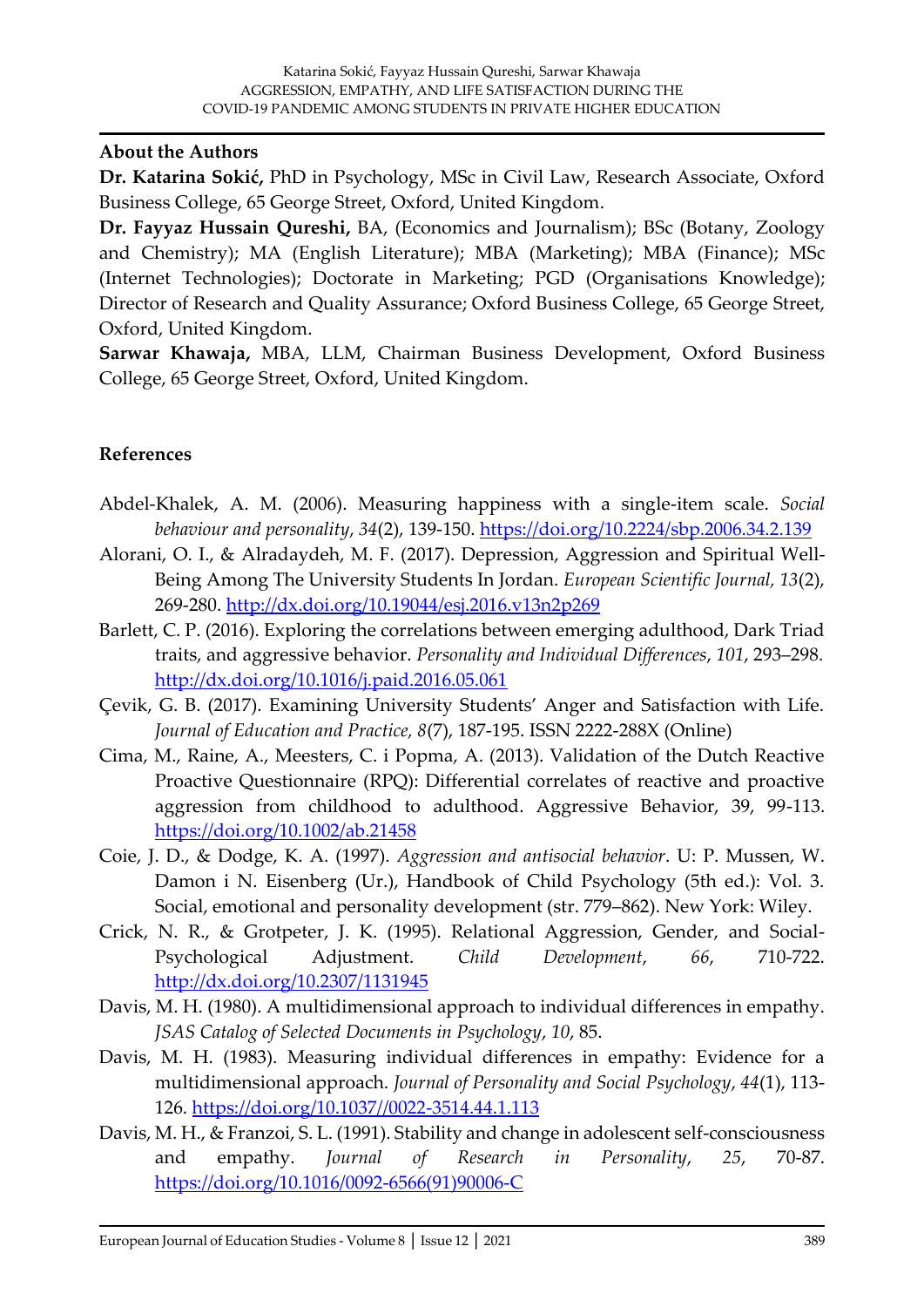#### **About the Authors**

**Dr. Katarina Sokić,** PhD in Psychology, MSc in Civil Law, Research Associate, Oxford Business College, 65 George Street, Oxford, United Kingdom.

**Dr. Fayyaz Hussain Qureshi,** BA, (Economics and Journalism); BSc (Botany, Zoology and Chemistry); MA (English Literature); MBA (Marketing); MBA (Finance); MSc (Internet Technologies); Doctorate in Marketing; PGD (Organisations Knowledge); Director of Research and Quality Assurance; Oxford Business College, 65 George Street, Oxford, United Kingdom.

**Sarwar Khawaja,** MBA, LLM, Chairman Business Development, Oxford Business College, 65 George Street, Oxford, United Kingdom.

#### **References**

- Abdel-Khalek, A. M. (2006). Measuring happiness with a single-item scale. *Social behaviour and personality*, *34*(2), 139-150.<https://doi.org/10.2224/sbp.2006.34.2.139>
- Alorani, O. I., & Alradaydeh, M. F. (2017). Depression, Aggression and Spiritual Well-Being Among The University Students In Jordan. *European Scientific Journal, 13*(2), 269-280.<http://dx.doi.org/10.19044/esj.2016.v13n2p269>
- Barlett, C. P. (2016). Exploring the correlations between emerging adulthood, Dark Triad traits, and aggressive behavior. *Personality and Individual Differences*, *101*, 293–298. <http://dx.doi.org/10.1016/j.paid.2016.05.061>
- Çevik, G. B. (2017). Examining University Students' Anger and Satisfaction with Life. *Journal of Education and Practice, 8*(7), 187-195. ISSN 2222-288X (Online)
- Cima, M., Raine, A., Meesters, C. i Popma, A. (2013). Validation of the Dutch Reactive Proactive Questionnaire (RPQ): Differential correlates of reactive and proactive aggression from childhood to adulthood. Aggressive Behavior, 39, 99-113. <https://doi.org/10.1002/ab.21458>
- Coie, J. D., & Dodge, K. A. (1997). *Aggression and antisocial behavior*. U: P. Mussen, W. Damon i N. Eisenberg (Ur.), Handbook of Child Psychology (5th ed.): Vol. 3. Social, emotional and personality development (str. 779–862). New York: Wiley.
- Crick, N. R., & Grotpeter, J. K. (1995). Relational Aggression, Gender, and Social-Psychological Adjustment. *Child Development*, *66*, 710-722. <http://dx.doi.org/10.2307/1131945>
- Davis, M. H. (1980). A multidimensional approach to individual differences in empathy. *JSAS Catalog of Selected Documents in Psychology*, *10*, 85.
- Davis, M. H. (1983). Measuring individual differences in empathy: Evidence for a multidimensional approach. *Journal of Personality and Social Psychology*, *44*(1), 113- 126. [https://doi.org/10.1037//0022-3514.44.1.113](https://doi.org/10.1037/0022-3514.44.1.113)
- Davis, M. H., & Franzoi, S. L. (1991). Stability and change in adolescent self-consciousness and empathy. *Journal of Research in Personality*, *25*, 70-87. [https://doi.org/10.1016/0092-6566\(91\)90006-C](https://doi.org/10.1016/0092-6566(91)90006-C)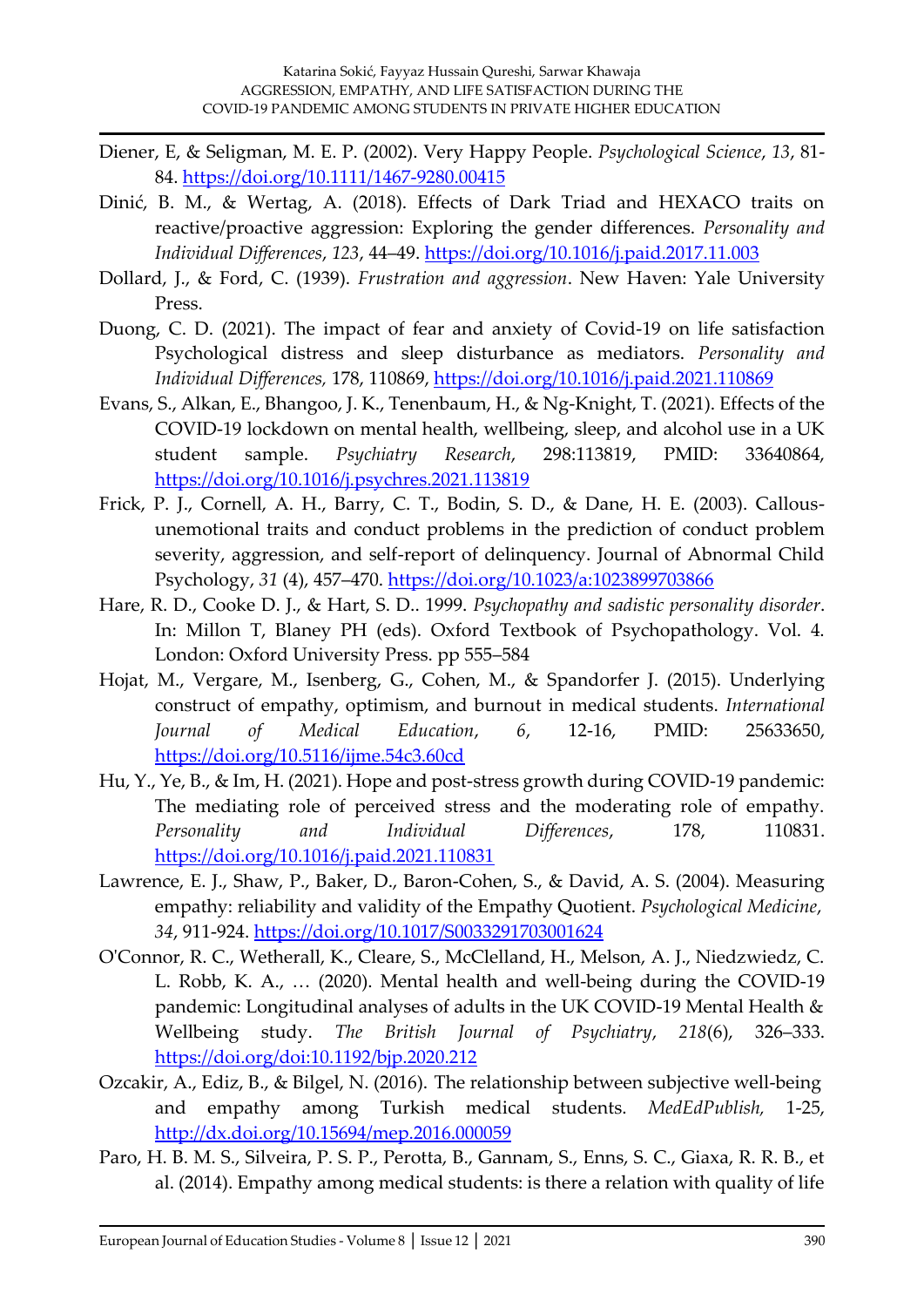- Diener, E, & Seligman, M. E. P. (2002). Very Happy People. *Psychological Science*, *13*, 81- 84. <https://doi.org/10.1111/1467-9280.00415>
- Dinić, B. M., & Wertag, A. (2018). Effects of Dark Triad and HEXACO traits on reactive/proactive aggression: Exploring the gender differences. *Personality and Individual Differences*, *123*, 44–49.<https://doi.org/10.1016/j.paid.2017.11.003>
- Dollard, J., & Ford, C. (1939). *Frustration and aggression*. New Haven: Yale University Press.
- Duong, C. D. (2021). The impact of fear and anxiety of Covid-19 on life satisfaction Psychological distress and sleep disturbance as mediators. *Personality and Individual Differences,* 178, 110869,<https://doi.org/10.1016/j.paid.2021.110869>
- Evans, S., Alkan, E., Bhangoo, J. K., Tenenbaum, H., & Ng-Knight, T. (2021). Effects of the COVID-19 lockdown on mental health, wellbeing, sleep, and alcohol use in a UK student sample. *Psychiatry Research*, 298:113819, PMID: 33640864, <https://doi.org/10.1016/j.psychres.2021.113819>
- Frick, P. J., Cornell, A. H., Barry, C. T., Bodin, S. D., & Dane, H. E. (2003). Callousunemotional traits and conduct problems in the prediction of conduct problem severity, aggression, and self-report of delinquency. Journal of Abnormal Child Psychology, *31* (4), 457–470. <https://doi.org/10.1023/a:1023899703866>
- Hare, R. D., Cooke D. J., & Hart, S. D.. 1999. *Psychopathy and sadistic personality disorder*. In: Millon T, Blaney PH (eds). Oxford Textbook of Psychopathology. Vol. 4. London: Oxford University Press. pp 555–584
- Hojat, M., Vergare, M., Isenberg, G., Cohen, M., & Spandorfer J. (2015). Underlying construct of empathy, optimism, and burnout in medical students. *International Journal of Medical Education*, *6*, 12-16, PMID: 25633650, <https://doi.org/10.5116/ijme.54c3.60cd>
- Hu, Y., Ye, B., & Im, H. (2021). Hope and post-stress growth during COVID-19 pandemic: The mediating role of perceived stress and the moderating role of empathy. *Personality and Individual Differences*, 178, 110831. <https://doi.org/10.1016/j.paid.2021.110831>
- Lawrence, E. J., Shaw, P., Baker, D., Baron-Cohen, S., & David, A. S. (2004). Measuring empathy: reliability and validity of the Empathy Quotient. *Psychological Medicine*, *34*, 911-924.<https://doi.org/10.1017/S0033291703001624>
- O'Connor, R. C., Wetherall, K., Cleare, S., McClelland, H., Melson, A. J., Niedzwiedz, C. L. Robb, K. A., … (2020). Mental health and well-being during the COVID-19 pandemic: Longitudinal analyses of adults in the UK COVID-19 Mental Health & Wellbeing study. *The British Journal of Psychiatry*, *218*(6), 326–333. <https://doi.org/doi:10.1192/bjp.2020.212>
- Ozcakir, A., Ediz, B., & Bilgel, N. (2016). The relationship between subjective well-being and empathy among Turkish medical students. *MedEdPublish,* 1-25, <http://dx.doi.org/10.15694/mep.2016.000059>
- Paro, H. B. M. S., Silveira, P. S. P., Perotta, B., Gannam, S., Enns, S. C., Giaxa, R. R. B., et al. (2014). Empathy among medical students: is there a relation with quality of life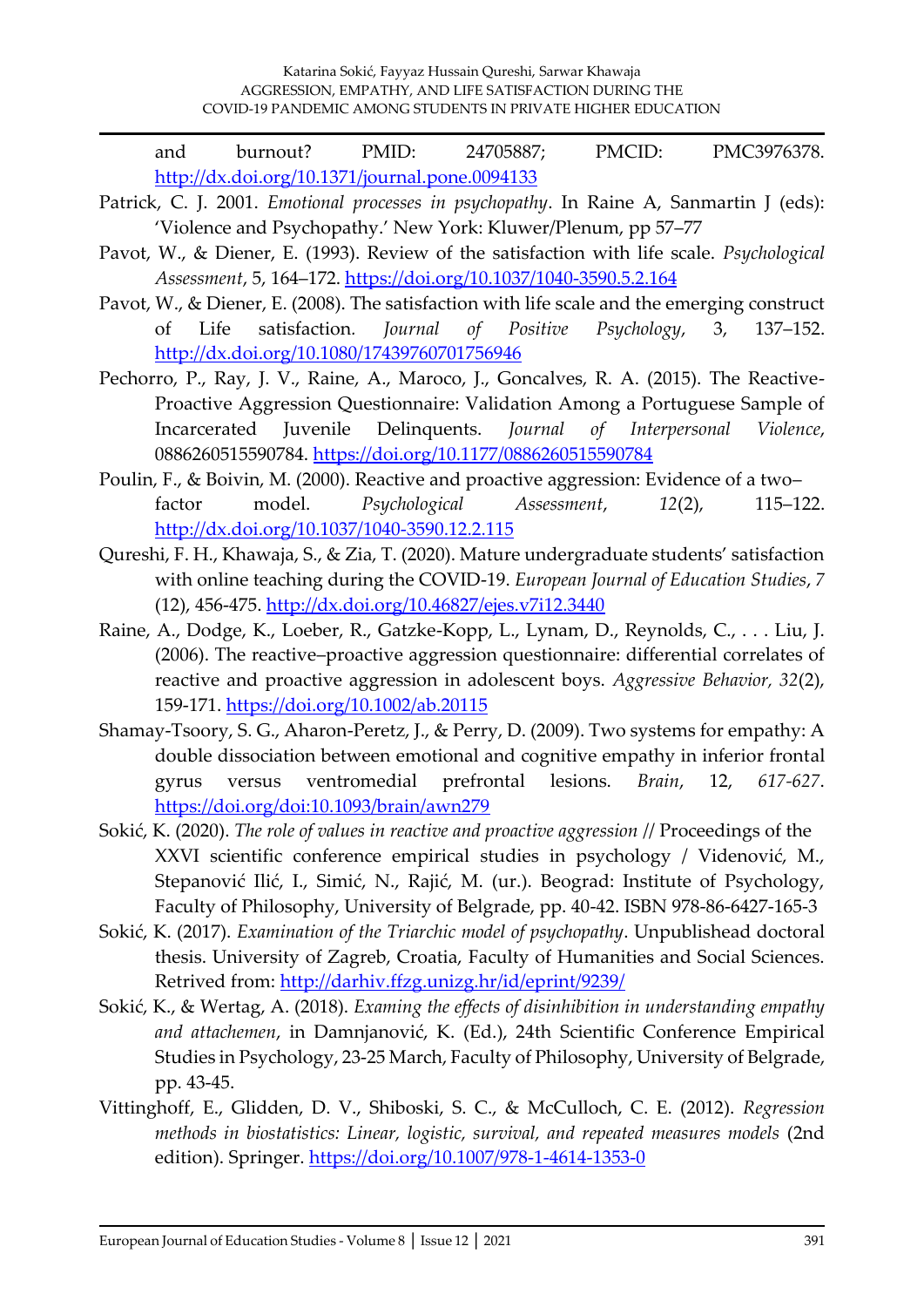and burnout? PMID: 24705887; PMCID: PMC3976378. <http://dx.doi.org/10.1371/journal.pone.0094133>

- Patrick, C. J. 2001. *Emotional processes in psychopathy*. In Raine A, Sanmartin J (eds): 'Violence and Psychopathy.' New York: Kluwer/Plenum, pp 57–77
- Pavot, W., & Diener, E. (1993). Review of the satisfaction with life scale. *Psychological Assessment*, 5, 164–172.<https://doi.org/10.1037/1040-3590.5.2.164>
- Pavot, W., & Diener, E. (2008). The satisfaction with life scale and the emerging construct of Life satisfaction*. Journal of Positive Psychology*, 3, 137–152. <http://dx.doi.org/10.1080/17439760701756946>
- Pechorro, P., Ray, J. V., Raine, A., Maroco, J., Goncalves, R. A. (2015). The Reactive-Proactive Aggression Questionnaire: Validation Among a Portuguese Sample of Incarcerated Juvenile Delinquents. *Journal of Interpersonal Violence*, 0886260515590784. <https://doi.org/10.1177/0886260515590784>
- Poulin, F., & Boivin, M. (2000). Reactive and proactive aggression: Evidence of a two– factor model. *Psychological Assessment*, *12*(2), 115–122. <http://dx.doi.org/10.1037/1040-3590.12.2.115>
- Qureshi, F. H., Khawaja, S., & Zia, T. (2020). Mature undergraduate students' satisfaction with online teaching during the COVID-19. *European Journal of Education Studies*, *7* (12), 456-475.<http://dx.doi.org/10.46827/ejes.v7i12.3440>
- Raine, A., Dodge, K., Loeber, R., Gatzke-Kopp, L., Lynam, D., Reynolds, C., . . . Liu, J. (2006). The reactive–proactive aggression questionnaire: differential correlates of reactive and proactive aggression in adolescent boys. *Aggressive Behavior, 32*(2), 159-171.<https://doi.org/10.1002/ab.20115>
- Shamay-Tsoory, S. G., Aharon-Peretz, J., & Perry, D. (2009). Two systems for empathy: A double dissociation between emotional and cognitive empathy in inferior frontal gyrus versus ventromedial prefrontal lesions. *Brain*, 12, *617-627*. <https://doi.org/doi:10.1093/brain/awn279>
- Sokić, K. (2020). *The role of values in reactive and proactive aggression* // Proceedings of the XXVI scientific conference empirical studies in psychology / Videnović, M., Stepanović Ilić, I., Simić, N., Rajić, M. (ur.). Beograd: Institute of Psychology, Faculty of Philosophy, University of Belgrade, pp. 40-42. ISBN 978-86-6427-165-3
- Sokić, K. (2017). *Examination of the Triarchic model of psychopathy*. Unpublishead doctoral thesis. University of Zagreb, Croatia, Faculty of Humanities and Social Sciences. Retrived from: <http://darhiv.ffzg.unizg.hr/id/eprint/9239/>
- Sokić, K., & Wertag, A. (2018). *Examing the effects of disinhibition in understanding empathy and attachemen*, in Damnjanović, K. (Ed.), 24th Scientific Conference Empirical Studies in Psychology, 23-25 March, Faculty of Philosophy, University of Belgrade, pp. 43-45.
- Vittinghoff, E., Glidden, D. V., Shiboski, S. C., & McCulloch, C. E. (2012). *Regression methods in biostatistics: Linear, logistic, survival, and repeated measures models* (2nd edition). Springer.<https://doi.org/10.1007/978-1-4614-1353-0>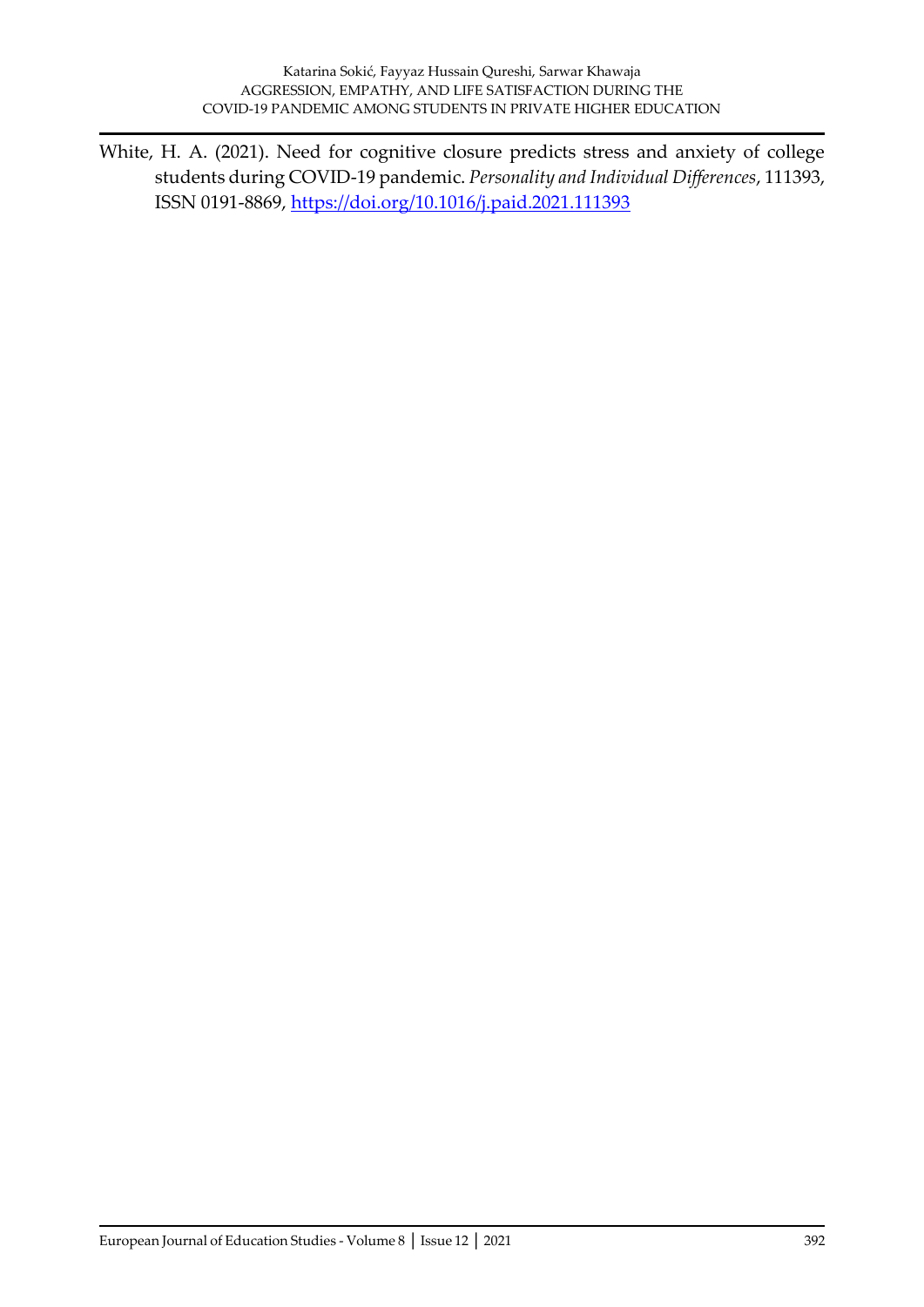White, H. A. (2021). Need for cognitive closure predicts stress and anxiety of college students during COVID-19 pandemic. *Personality and Individual Differences*, 111393, ISSN 0191-8869,<https://doi.org/10.1016/j.paid.2021.111393>